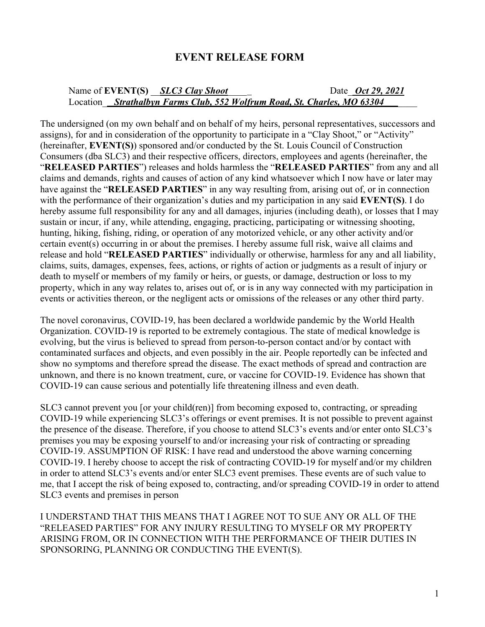## **EVENT RELEASE FORM**

## Name of **EVENT(S)**  $SLC3 Clav Shoot$  Date Oct 29, 2021 Location Strathalbyn Farms Club, 552 Wolfrum Road, St. Charles, MO 63304

The undersigned (on my own behalf and on behalf of my heirs, personal representatives, successors and assigns), for and in consideration of the opportunity to participate in a "Clay Shoot," or "Activity" (hereinafter, **EVENT(S)**) sponsored and/or conducted by the St. Louis Council of Construction Consumers (dba SLC3) and their respective officers, directors, employees and agents (hereinafter, the "**RELEASED PARTIES**") releases and holds harmless the "**RELEASED PARTIES**" from any and all claims and demands, rights and causes of action of any kind whatsoever which I now have or later may have against the "**RELEASED PARTIES**" in any way resulting from, arising out of, or in connection with the performance of their organization's duties and my participation in any said **EVENT(S)**. I do hereby assume full responsibility for any and all damages, injuries (including death), or losses that I may sustain or incur, if any, while attending, engaging, practicing, participating or witnessing shooting, hunting, hiking, fishing, riding, or operation of any motorized vehicle, or any other activity and/or certain event(s) occurring in or about the premises. I hereby assume full risk, waive all claims and release and hold "**RELEASED PARTIES**" individually or otherwise, harmless for any and all liability, claims, suits, damages, expenses, fees, actions, or rights of action or judgments as a result of injury or death to myself or members of my family or heirs, or guests, or damage, destruction or loss to my property, which in any way relates to, arises out of, or is in any way connected with my participation in events or activities thereon, or the negligent acts or omissions of the releases or any other third party.

The novel coronavirus, COVID-19, has been declared a worldwide pandemic by the World Health Organization. COVID-19 is reported to be extremely contagious. The state of medical knowledge is evolving, but the virus is believed to spread from person-to-person contact and/or by contact with contaminated surfaces and objects, and even possibly in the air. People reportedly can be infected and show no symptoms and therefore spread the disease. The exact methods of spread and contraction are unknown, and there is no known treatment, cure, or vaccine for COVID-19. Evidence has shown that COVID-19 can cause serious and potentially life threatening illness and even death.

SLC3 cannot prevent you [or your child(ren)] from becoming exposed to, contracting, or spreading COVID-19 while experiencing SLC3's offerings or event premises. It is not possible to prevent against the presence of the disease. Therefore, if you choose to attend SLC3's events and/or enter onto SLC3's premises you may be exposing yourself to and/or increasing your risk of contracting or spreading COVID-19. ASSUMPTION OF RISK: I have read and understood the above warning concerning COVID-19. I hereby choose to accept the risk of contracting COVID-19 for myself and/or my children in order to attend SLC3's events and/or enter SLC3 event premises. These events are of such value to me, that I accept the risk of being exposed to, contracting, and/or spreading COVID-19 in order to attend SLC3 events and premises in person

I UNDERSTAND THAT THIS MEANS THAT I AGREE NOT TO SUE ANY OR ALL OF THE "RELEASED PARTIES" FOR ANY INJURY RESULTING TO MYSELF OR MY PROPERTY ARISING FROM, OR IN CONNECTION WITH THE PERFORMANCE OF THEIR DUTIES IN SPONSORING, PLANNING OR CONDUCTING THE EVENT(S).